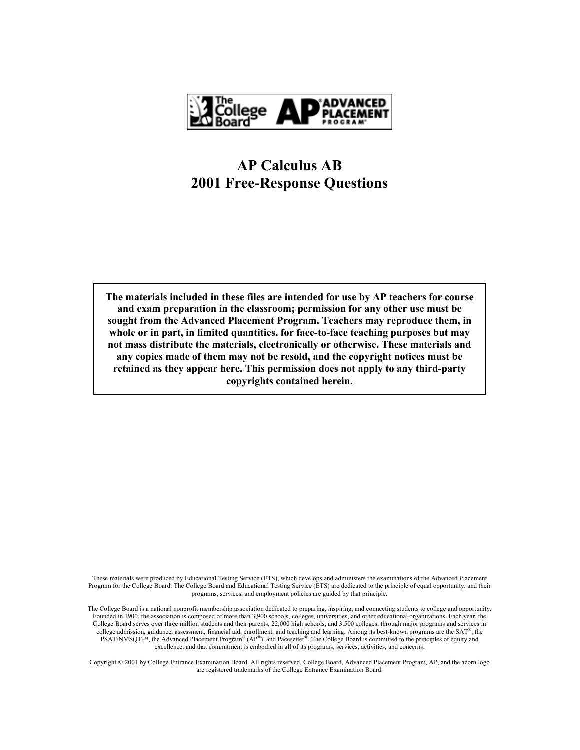

# **AP Calculus AB 2001 Free-Response Questions**

**The materials included in these files are intended for use by AP teachers for course and exam preparation in the classroom; permission for any other use must be sought from the Advanced Placement Program. Teachers may reproduce them, in whole or in part, in limited quantities, for face-to-face teaching purposes but may not mass distribute the materials, electronically or otherwise. These materials and any copies made of them may not be resold, and the copyright notices must be retained as they appear here. This permission does not apply to any third-party copyrights contained herein.** 

These materials were produced by Educational Testing Service (ETS), which develops and administers the examinations of the Advanced Placement Program for the College Board. The College Board and Educational Testing Service (ETS) are dedicated to the principle of equal opportunity, and their programs, services, and employment policies are guided by that principle.

The College Board is a national nonprofit membership association dedicated to preparing, inspiring, and connecting students to college and opportunity. Founded in 1900, the association is composed of more than 3,900 schools, colleges, universities, and other educational organizations. Each year, the College Board serves over three million students and their parents, 22,000 high schools, and 3,500 colleges, through major programs and services in college admission, guidance, assessment, financial aid, enrollment, and teaching and learning. Among its best-known programs are the  $SAT^*$ , the PSAT/NMSQT<sup>TM</sup>, the Advanced Placement Program<sup>®</sup> (AP<sup>®</sup>), and Pacesetter<sup>®</sup>. The College Board is committed to the principles of equity and excellence, and that commitment is embodied in all of its programs, services, activities, and concerns.

Copyright © 2001 by College Entrance Examination Board. All rights reserved. College Board, Advanced Placement Program, AP, and the acorn logo are registered trademarks of the College Entrance Examination Board.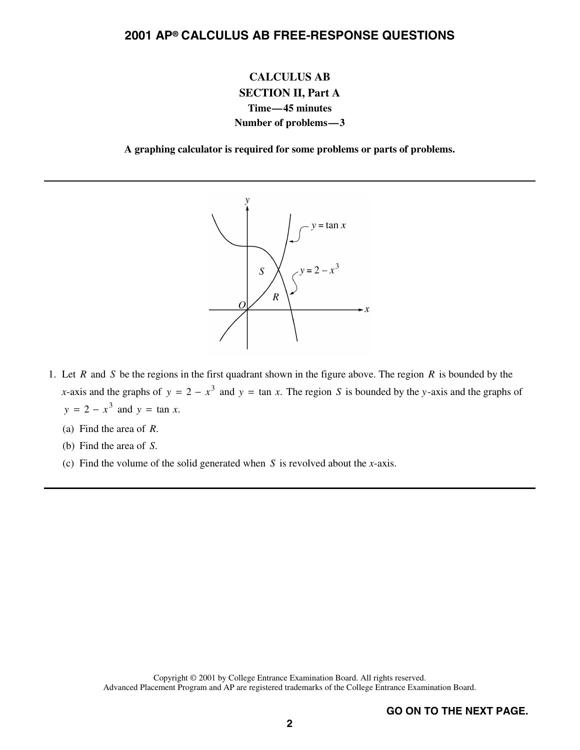## **CALCULUS AB SECTION II, Part A Time—45 minutes Number of problems—3**

**A graphing calculator is required for some problems or parts of problems.**



- 1. Let *R* and *S* be the regions in the first quadrant shown in the figure above. The region *R* is bounded by the *x*-axis and the graphs of  $y = 2 - x^3$  and  $y = \tan x$ . The region *S* is bounded by the *y*-axis and the graphs of *y* = 2 –  $x^3$  and *y* = tan *x*.
	- (a) Find the area of *R*.
	- (b) Find the area of *S*.
	- (c) Find the volume of the solid generated when *S* is revolved about the *x*-axis.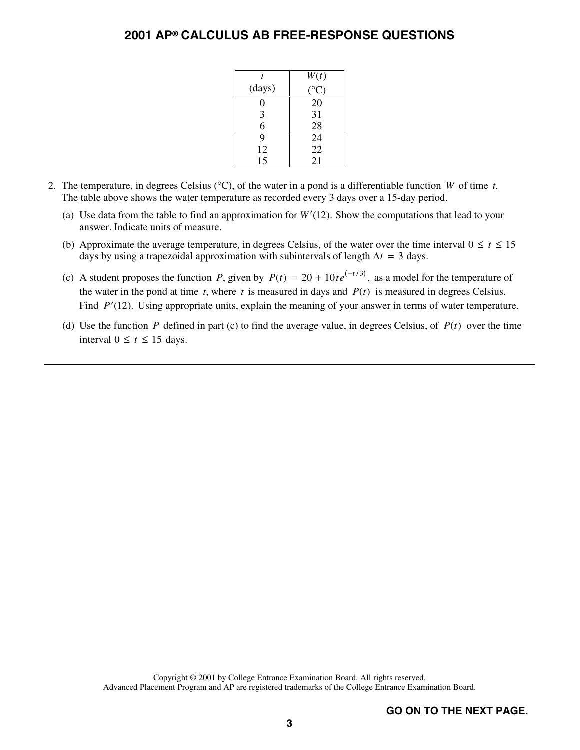| t      | W(t) |
|--------|------|
| (days) | C)   |
| 0      | 20   |
| 3      | 31   |
| 6      | 28   |
| 9      | 24   |
| 12     | 22   |
| 15     | 21   |

- 2. The temperature, in degrees Celsius (°C), of the water in a pond is a differentiable function *W* of time *t*. The table above shows the water temperature as recorded every 3 days over a 15-day period.
	- (a) Use data from the table to find an approximation for  $W'(12)$ . Show the computations that lead to your answer. Indicate units of measure.
	- (b) Approximate the average temperature, in degrees Celsius, of the water over the time interval  $0 \le t \le 15$ days by using a trapezoidal approximation with subintervals of length  $\Delta t = 3$  days.
	- (c) A student proposes the function *P*, given by  $P(t) = 20 + 10te^{(-t/3)}$ , as a model for the temperature of the water in the pond at time  $t$ , where  $t$  is measured in days and  $P(t)$  is measured in degrees Celsius. Find *P*'(12). Using appropriate units, explain the meaning of your answer in terms of water temperature.
	- (d) Use the function *P* defined in part (c) to find the average value, in degrees Celsius, of  $P(t)$  over the time interval  $0 \le t \le 15$  days.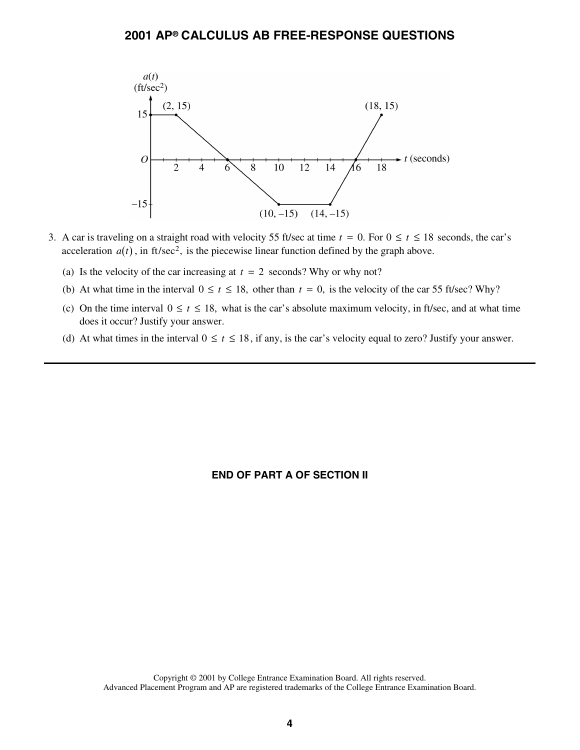

- 3. A car is traveling on a straight road with velocity 55 ft/sec at time  $t = 0$ . For  $0 \le t \le 18$  seconds, the car's A can is traveling on a straight road with velocity 33 rosec at thile  $t = 0$ . For  $0 \le t \le 18$  acceleration  $a(t)$ , in ft/sec<sup>2</sup>, is the piecewise linear function defined by the graph above.
	- (a) Is the velocity of the car increasing at  $t = 2$  seconds? Why or why not?
	- (b) At what time in the interval  $0 \le t \le 18$ , other than  $t = 0$ , is the velocity of the car 55 ft/sec? Why?
	- (c) On the time interval  $0 \le t \le 18$ , what is the car's absolute maximum velocity, in ft/sec, and at what time does it occur? Justify your answer.
	- (d) At what times in the interval  $0 \le t \le 18$ , if any, is the car's velocity equal to zero? Justify your answer.

### **END OF PART A OF SECTION II**